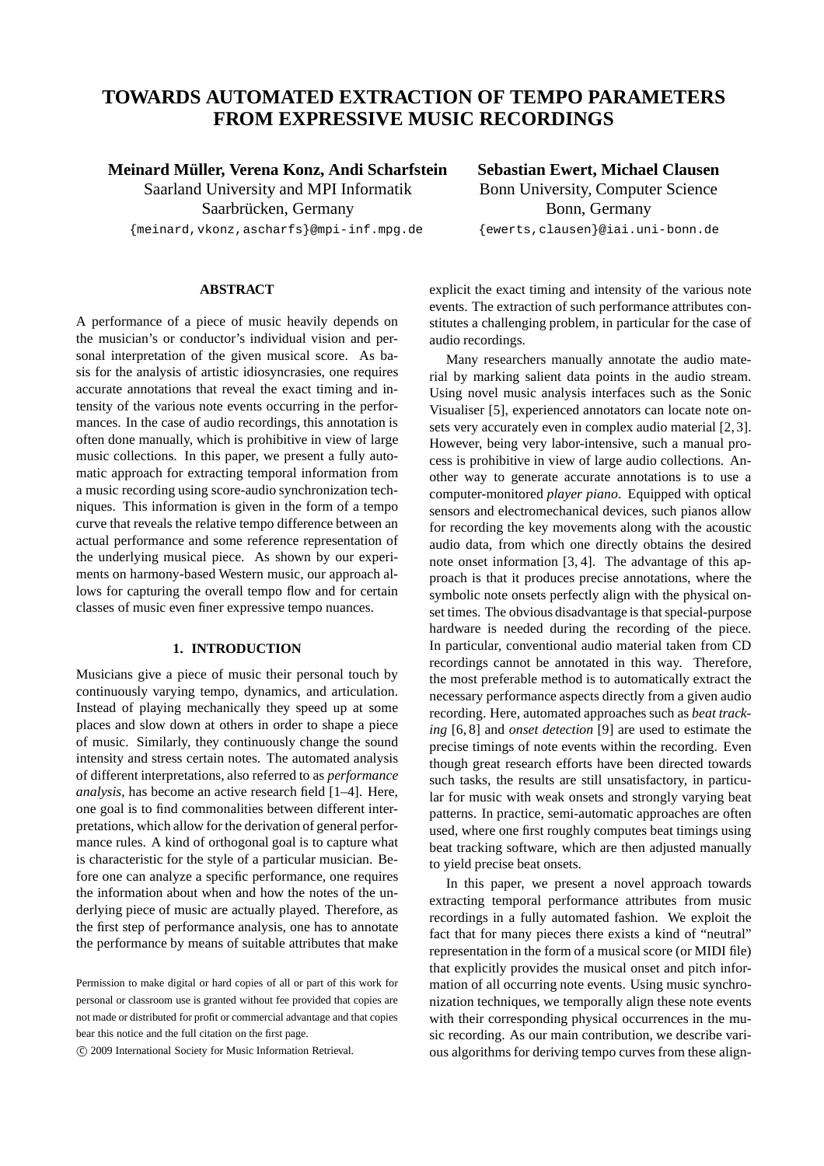# **TOWARDS AUTOMATED EXTRACTION OF TEMPO PARAMETERS FROM EXPRESSIVE MUSIC RECORDINGS**

# **Meinard Muller, Verena Konz, Andi Scharfstein ¨** Saarland University and MPI Informatik

Saarbrücken, Germany

{meinard,vkonz,ascharfs}@mpi-inf.mpg.de

# **ABSTRACT**

A performance of a piece of music heavily depends on the musician's or conductor's individual vision and personal interpretation of the given musical score. As basis for the analysis of artistic idiosyncrasies, one requires accurate annotations that reveal the exact timing and intensity of the various note events occurring in the performances. In the case of audio recordings, this annotation is often done manually, which is prohibitive in view of large music collections. In this paper, we present a fully automatic approach for extracting temporal information from a music recording using score-audio synchronization techniques. This information is given in the form of a tempo curve that reveals the relative tempo difference between an actual performance and some reference representation of the underlying musical piece. As shown by our experiments on harmony-based Western music, our approach allows for capturing the overall tempo flow and for certain classes of music even finer expressive tempo nuances.

## **1. INTRODUCTION**

Musicians give a piece of music their personal touch by continuously varying tempo, dynamics, and articulation. Instead of playing mechanically they speed up at some places and slow down at others in order to shape a piece of music. Similarly, they continuously change the sound intensity and stress certain notes. The automated analysis of different interpretations, also referred to as *performance analysis*, has become an active research field [1–4]. Here, one goal is to find commonalities between different interpretations, which allow for the derivation of general performance rules. A kind of orthogonal goal is to capture what is characteristic for the style of a particular musician. Before one can analyze a specific performance, one requires the information about when and how the notes of the underlying piece of music are actually played. Therefore, as the first step of performance analysis, one has to annotate the performance by means of suitable attributes that make

c 2009 International Society for Music Information Retrieval.

**Sebastian Ewert, Michael Clausen** Bonn University, Computer Science Bonn, Germany

{ewerts,clausen}@iai.uni-bonn.de

explicit the exact timing and intensity of the various note events. The extraction of such performance attributes constitutes a challenging problem, in particular for the case of audio recordings.

Many researchers manually annotate the audio material by marking salient data points in the audio stream. Using novel music analysis interfaces such as the Sonic Visualiser [5], experienced annotators can locate note onsets very accurately even in complex audio material [2, 3]. However, being very labor-intensive, such a manual process is prohibitive in view of large audio collections. Another way to generate accurate annotations is to use a computer-monitored *player piano*. Equipped with optical sensors and electromechanical devices, such pianos allow for recording the key movements along with the acoustic audio data, from which one directly obtains the desired note onset information [3, 4]. The advantage of this approach is that it produces precise annotations, where the symbolic note onsets perfectly align with the physical onset times. The obvious disadvantage is that special-purpose hardware is needed during the recording of the piece. In particular, conventional audio material taken from CD recordings cannot be annotated in this way. Therefore, the most preferable method is to automatically extract the necessary performance aspects directly from a given audio recording. Here, automated approaches such as *beat tracking* [6, 8] and *onset detection* [9] are used to estimate the precise timings of note events within the recording. Even though great research efforts have been directed towards such tasks, the results are still unsatisfactory, in particular for music with weak onsets and strongly varying beat patterns. In practice, semi-automatic approaches are often used, where one first roughly computes beat timings using beat tracking software, which are then adjusted manually to yield precise beat onsets.

In this paper, we present a novel approach towards extracting temporal performance attributes from music recordings in a fully automated fashion. We exploit the fact that for many pieces there exists a kind of "neutral" representation in the form of a musical score (or MIDI file) that explicitly provides the musical onset and pitch information of all occurring note events. Using music synchronization techniques, we temporally align these note events with their corresponding physical occurrences in the music recording. As our main contribution, we describe various algorithms for deriving tempo curves from these align-

Permission to make digital or hard copies of all or part of this work for personal or classroom use is granted without fee provided that copies are not made or distributed for profit or commercial advantage and that copies bear this notice and the full citation on the first page.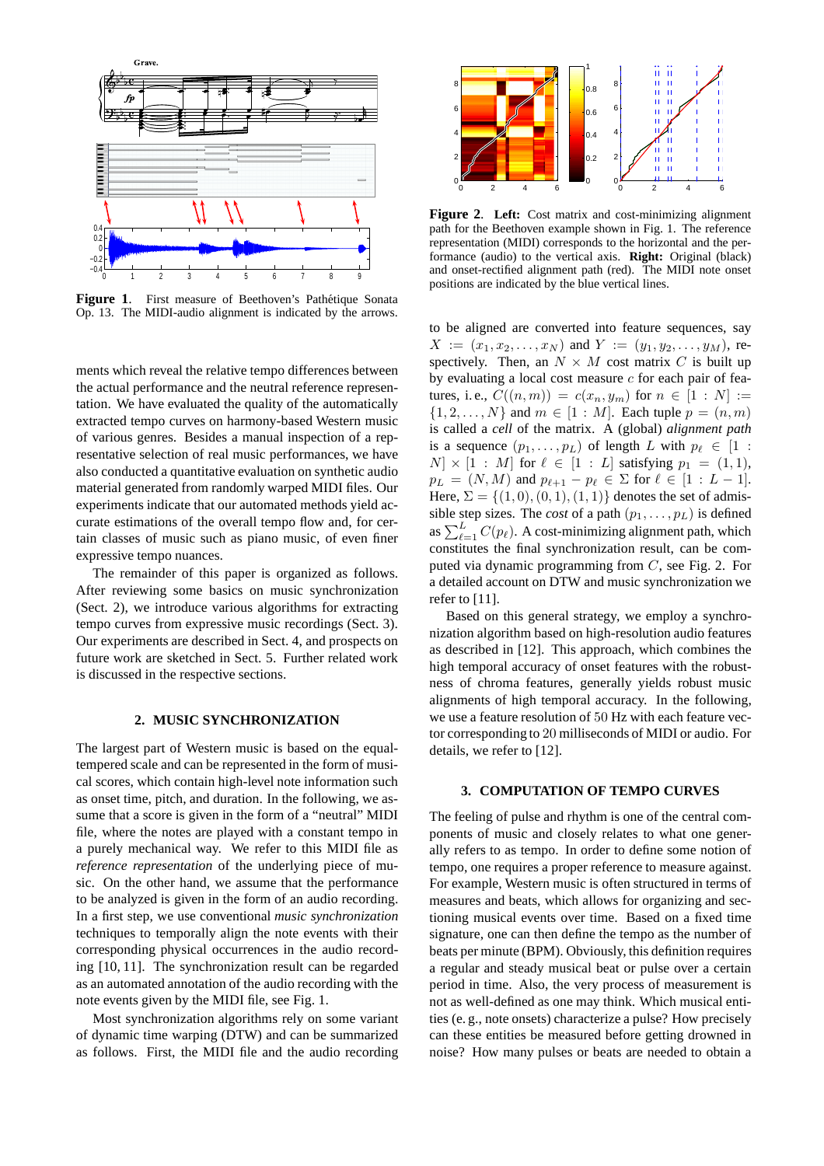

Figure 1. First measure of Beethoven's Pathétique Sonata Op. 13. The MIDI-audio alignment is indicated by the arrows.

ments which reveal the relative tempo differences between the actual performance and the neutral reference representation. We have evaluated the quality of the automatically extracted tempo curves on harmony-based Western music of various genres. Besides a manual inspection of a representative selection of real music performances, we have also conducted a quantitative evaluation on synthetic audio material generated from randomly warped MIDI files. Our experiments indicate that our automated methods yield accurate estimations of the overall tempo flow and, for certain classes of music such as piano music, of even finer expressive tempo nuances.

The remainder of this paper is organized as follows. After reviewing some basics on music synchronization (Sect. 2), we introduce various algorithms for extracting tempo curves from expressive music recordings (Sect. 3). Our experiments are described in Sect. 4, and prospects on future work are sketched in Sect. 5. Further related work is discussed in the respective sections.

## **2. MUSIC SYNCHRONIZATION**

The largest part of Western music is based on the equaltempered scale and can be represented in the form of musical scores, which contain high-level note information such as onset time, pitch, and duration. In the following, we assume that a score is given in the form of a "neutral" MIDI file, where the notes are played with a constant tempo in a purely mechanical way. We refer to this MIDI file as *reference representation* of the underlying piece of music. On the other hand, we assume that the performance to be analyzed is given in the form of an audio recording. In a first step, we use conventional *music synchronization* techniques to temporally align the note events with their corresponding physical occurrences in the audio recording [10, 11]. The synchronization result can be regarded as an automated annotation of the audio recording with the note events given by the MIDI file, see Fig. 1.

Most synchronization algorithms rely on some variant of dynamic time warping (DTW) and can be summarized as follows. First, the MIDI file and the audio recording



**Figure 2**. **Left:** Cost matrix and cost-minimizing alignment path for the Beethoven example shown in Fig. 1. The reference representation (MIDI) corresponds to the horizontal and the performance (audio) to the vertical axis. **Right:** Original (black) and onset-rectified alignment path (red). The MIDI note onset positions are indicated by the blue vertical lines.

to be aligned are converted into feature sequences, say  $X := (x_1, x_2, \ldots, x_N)$  and  $Y := (y_1, y_2, \ldots, y_M)$ , respectively. Then, an  $N \times M$  cost matrix C is built up by evaluating a local cost measure  $c$  for each pair of features, i.e.,  $C((n, m)) = c(x_n, y_m)$  for  $n \in [1 : N] :=$  $\{1, 2, ..., N\}$  and  $m \in [1 : M]$ . Each tuple  $p = (n, m)$ is called a *cell* of the matrix. A (global) *alignment path* is a sequence  $(p_1, \ldots, p_L)$  of length L with  $p_\ell \in [1 :$  $N \times [1 : M]$  for  $\ell \in [1 : L]$  satisfying  $p_1 = (1, 1)$ ,  $p_L = (N, M)$  and  $p_{\ell+1} - p_{\ell} \in \Sigma$  for  $\ell \in [1 : L - 1]$ . Here,  $\Sigma = \{(1, 0), (0, 1), (1, 1)\}\$  denotes the set of admissible step sizes. The *cost* of a path  $(p_1, \ldots, p_L)$  is defined as  $\sum_{\ell=1}^{L} C(p_{\ell})$ . A cost-minimizing alignment path, which constitutes the final synchronization result, can be computed via dynamic programming from C, see Fig. 2. For a detailed account on DTW and music synchronization we refer to [11].

Based on this general strategy, we employ a synchronization algorithm based on high-resolution audio features as described in [12]. This approach, which combines the high temporal accuracy of onset features with the robustness of chroma features, generally yields robust music alignments of high temporal accuracy. In the following, we use a feature resolution of 50 Hz with each feature vector corresponding to 20 milliseconds of MIDI or audio. For details, we refer to [12].

## **3. COMPUTATION OF TEMPO CURVES**

The feeling of pulse and rhythm is one of the central components of music and closely relates to what one generally refers to as tempo. In order to define some notion of tempo, one requires a proper reference to measure against. For example, Western music is often structured in terms of measures and beats, which allows for organizing and sectioning musical events over time. Based on a fixed time signature, one can then define the tempo as the number of beats per minute (BPM). Obviously, this definition requires a regular and steady musical beat or pulse over a certain period in time. Also, the very process of measurement is not as well-defined as one may think. Which musical entities (e. g., note onsets) characterize a pulse? How precisely can these entities be measured before getting drowned in noise? How many pulses or beats are needed to obtain a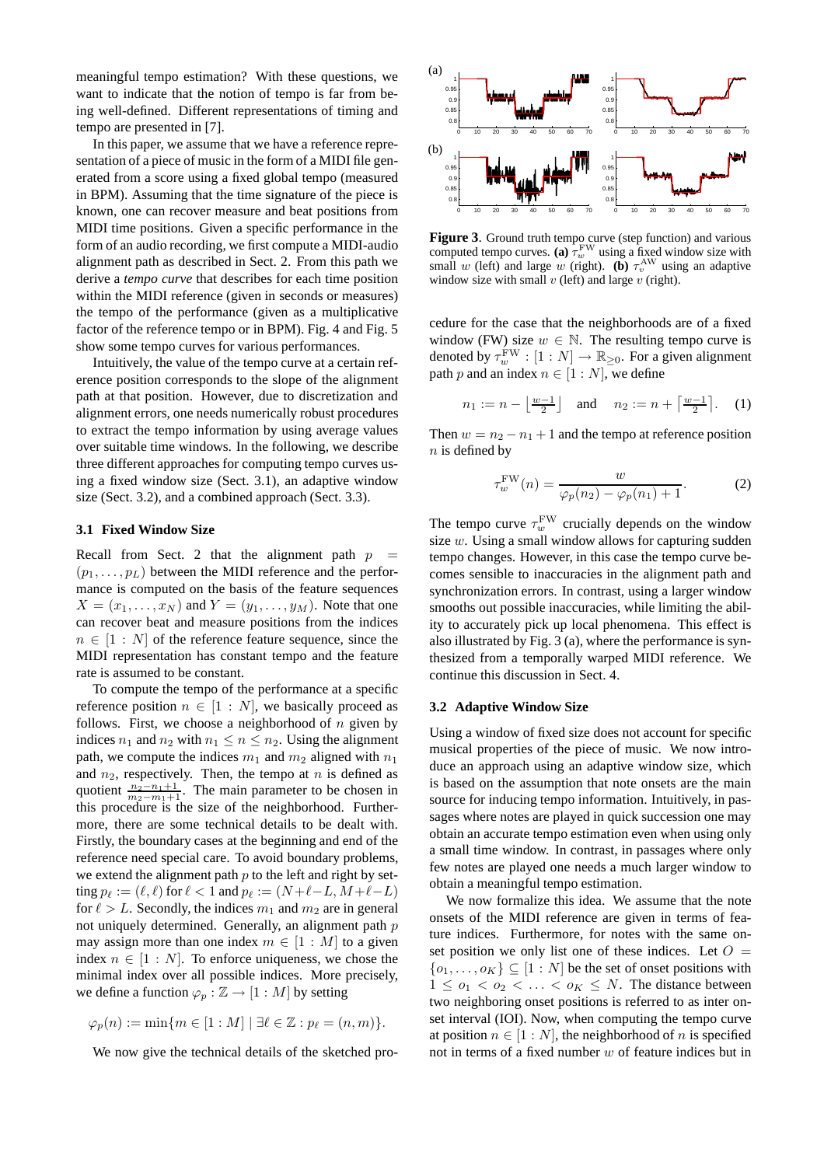meaningful tempo estimation? With these questions, we want to indicate that the notion of tempo is far from being well-defined. Different representations of timing and tempo are presented in [7].

In this paper, we assume that we have a reference representation of a piece of music in the form of a MIDI file generated from a score using a fixed global tempo (measured in BPM). Assuming that the time signature of the piece is known, one can recover measure and beat positions from MIDI time positions. Given a specific performance in the form of an audio recording, we first compute a MIDI-audio alignment path as described in Sect. 2. From this path we derive a *tempo curve* that describes for each time position within the MIDI reference (given in seconds or measures) the tempo of the performance (given as a multiplicative factor of the reference tempo or in BPM). Fig. 4 and Fig. 5 show some tempo curves for various performances.

Intuitively, the value of the tempo curve at a certain reference position corresponds to the slope of the alignment path at that position. However, due to discretization and alignment errors, one needs numerically robust procedures to extract the tempo information by using average values over suitable time windows. In the following, we describe three different approaches for computing tempo curves using a fixed window size (Sect. 3.1), an adaptive window size (Sect. 3.2), and a combined approach (Sect. 3.3).

#### **3.1 Fixed Window Size**

Recall from Sect. 2 that the alignment path  $p =$  $(p_1, \ldots, p_L)$  between the MIDI reference and the performance is computed on the basis of the feature sequences  $X = (x_1, \ldots, x_N)$  and  $Y = (y_1, \ldots, y_M)$ . Note that one can recover beat and measure positions from the indices  $n \in [1 : N]$  of the reference feature sequence, since the MIDI representation has constant tempo and the feature rate is assumed to be constant.

To compute the tempo of the performance at a specific reference position  $n \in [1 : N]$ , we basically proceed as follows. First, we choose a neighborhood of  $n$  given by indices  $n_1$  and  $n_2$  with  $n_1 \le n \le n_2$ . Using the alignment path, we compute the indices  $m_1$  and  $m_2$  aligned with  $n_1$ and  $n_2$ , respectively. Then, the tempo at n is defined as quotient  $\frac{n_2-n_1+1}{m_2-m_1+1}$ . The main parameter to be chosen in this procedure is the size of the neighborhood. Furthermore, there are some technical details to be dealt with. Firstly, the boundary cases at the beginning and end of the reference need special care. To avoid boundary problems, we extend the alignment path  $p$  to the left and right by setting  $p_\ell := (\ell, \ell)$  for  $\ell < 1$  and  $p_\ell := (N + \ell - L, M + \ell - L)$ for  $\ell > L$ . Secondly, the indices  $m_1$  and  $m_2$  are in general not uniquely determined. Generally, an alignment path  $p$ may assign more than one index  $m \in [1 : M]$  to a given index  $n \in [1:N]$ . To enforce uniqueness, we chose the minimal index over all possible indices. More precisely, we define a function  $\varphi_p : \mathbb{Z} \to [1 : M]$  by setting

$$
\varphi_p(n) := \min\{m \in [1:M] \mid \exists \ell \in \mathbb{Z} : p_\ell = (n,m)\}.
$$

We now give the technical details of the sketched pro-



**Figure 3**. Ground truth tempo curve (step function) and various computed tempo curves. (a)  $\tau_w^{\text{FW}}$  using a fixed window size with small w (left) and large w (right). **(b)**  $\tau_v^{\text{AW}}$  using an adaptive window size with small  $v$  (left) and large  $v$  (right).

cedure for the case that the neighborhoods are of a fixed window (FW) size  $w \in \mathbb{N}$ . The resulting tempo curve is denoted by  $\tau_w^{\text{FW}} : [1:N] \to \mathbb{R}_{\geq 0}$ . For a given alignment path p and an index  $n \in [1:N]$ , we define

$$
n_1 := n - \left\lfloor \frac{w-1}{2} \right\rfloor \quad \text{and} \quad n_2 := n + \left\lceil \frac{w-1}{2} \right\rceil. \tag{1}
$$

Then  $w = n_2 - n_1 + 1$  and the tempo at reference position  $n$  is defined by

$$
\tau_w^{\text{FW}}(n) = \frac{w}{\varphi_p(n_2) - \varphi_p(n_1) + 1}.
$$
 (2)

The tempo curve  $\tau_w^{\text{FW}}$  crucially depends on the window size  $w$ . Using a small window allows for capturing sudden tempo changes. However, in this case the tempo curve becomes sensible to inaccuracies in the alignment path and synchronization errors. In contrast, using a larger window smooths out possible inaccuracies, while limiting the ability to accurately pick up local phenomena. This effect is also illustrated by Fig. 3 (a), where the performance is synthesized from a temporally warped MIDI reference. We continue this discussion in Sect. 4.

#### **3.2 Adaptive Window Size**

Using a window of fixed size does not account for specific musical properties of the piece of music. We now introduce an approach using an adaptive window size, which is based on the assumption that note onsets are the main source for inducing tempo information. Intuitively, in passages where notes are played in quick succession one may obtain an accurate tempo estimation even when using only a small time window. In contrast, in passages where only few notes are played one needs a much larger window to obtain a meaningful tempo estimation.

We now formalize this idea. We assume that the note onsets of the MIDI reference are given in terms of feature indices. Furthermore, for notes with the same onset position we only list one of these indices. Let  $O =$  $\{o_1, \ldots, o_K\} \subseteq [1:N]$  be the set of onset positions with  $1 \leq o_1 < o_2 < \ldots < o_K \leq N$ . The distance between two neighboring onset positions is referred to as inter onset interval (IOI). Now, when computing the tempo curve at position  $n \in [1:N]$ , the neighborhood of n is specified not in terms of a fixed number w of feature indices but in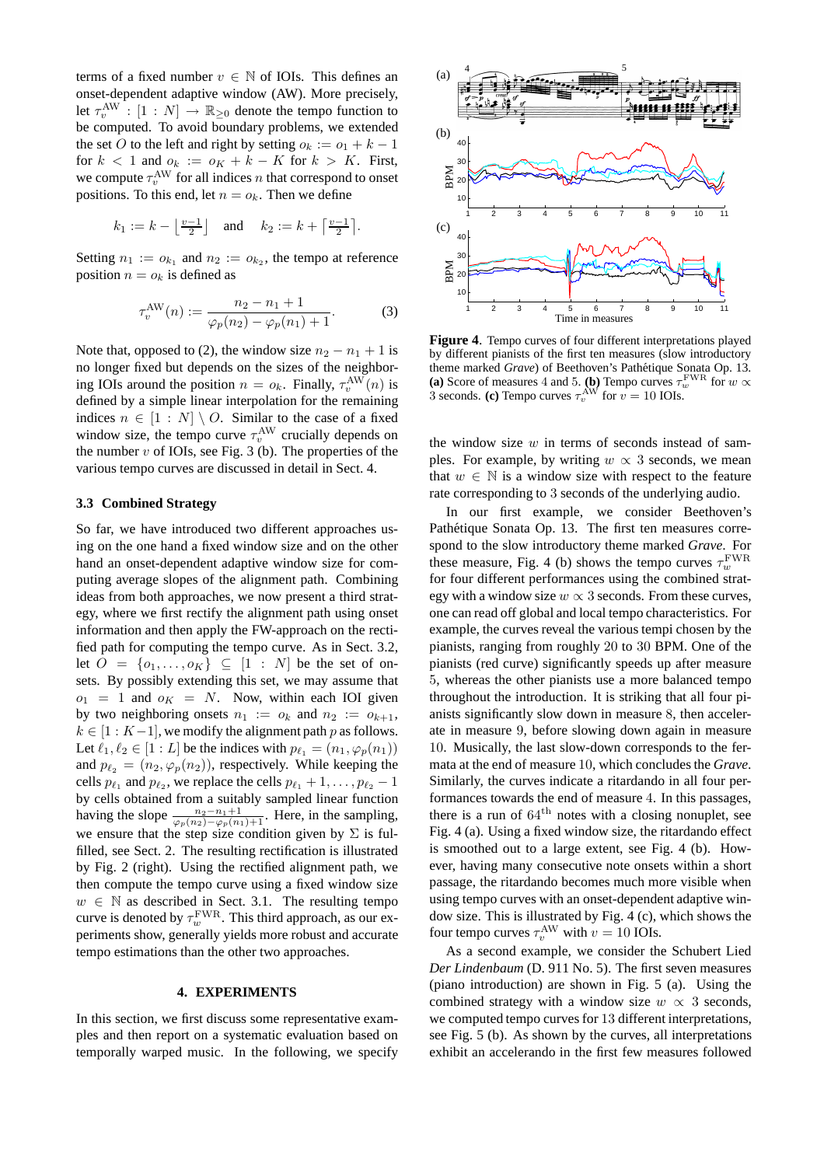terms of a fixed number  $v \in \mathbb{N}$  of IOIs. This defines an onset-dependent adaptive window (AW). More precisely, let  $\tau_v^{\text{AW}} : [1 : N] \to \mathbb{R}_{\geq 0}$  denote the tempo function to be computed. To avoid boundary problems, we extended the set O to the left and right by setting  $o_k := o_1 + k - 1$ for  $k < 1$  and  $o_k := o_K + k - K$  for  $k > K$ . First, we compute  $\tau_v^{\text{AW}}$  for all indices *n* that correspond to onset positions. To this end, let  $n = o_k$ . Then we define

$$
k_1 := k - \left\lfloor \frac{v-1}{2} \right\rfloor \quad \text{and} \quad k_2 := k + \left\lceil \frac{v-1}{2} \right\rceil.
$$

Setting  $n_1 := o_{k_1}$  and  $n_2 := o_{k_2}$ , the tempo at reference position  $n = o_k$  is defined as

$$
\tau_v^{\text{AW}}(n) := \frac{n_2 - n_1 + 1}{\varphi_p(n_2) - \varphi_p(n_1) + 1}.
$$
 (3)

Note that, opposed to (2), the window size  $n_2 - n_1 + 1$  is no longer fixed but depends on the sizes of the neighboring IOIs around the position  $n = o_k$ . Finally,  $\tau_v^{\text{AW}}(n)$  is defined by a simple linear interpolation for the remaining indices  $n \in [1 : N] \setminus O$ . Similar to the case of a fixed window size, the tempo curve  $\tau_v^{\text{AW}}$  crucially depends on the number  $v$  of IOIs, see Fig. 3 (b). The properties of the various tempo curves are discussed in detail in Sect. 4.

#### **3.3 Combined Strategy**

So far, we have introduced two different approaches using on the one hand a fixed window size and on the other hand an onset-dependent adaptive window size for computing average slopes of the alignment path. Combining ideas from both approaches, we now present a third strategy, where we first rectify the alignment path using onset information and then apply the FW-approach on the rectified path for computing the tempo curve. As in Sect. 3.2, let  $O = \{o_1, \ldots, o_K\} \subseteq [1 : N]$  be the set of onsets. By possibly extending this set, we may assume that  $o_1 = 1$  and  $o_K = N$ . Now, within each IOI given by two neighboring onsets  $n_1 := o_k$  and  $n_2 := o_{k+1}$ ,  $k \in [1:K-1]$ , we modify the alignment path p as follows. Let  $\ell_1, \ell_2 \in [1:L]$  be the indices with  $p_{\ell_1} = (n_1, \varphi_p(n_1))$ and  $p_{\ell_2} = (n_2, \varphi_p(n_2))$ , respectively. While keeping the cells  $p_{\ell_1}$  and  $p_{\ell_2}$ , we replace the cells  $p_{\ell_1} + 1, \ldots, p_{\ell_2} - 1$ by cells obtained from a suitably sampled linear function having the slope  $\frac{n_2-n_1+1}{\varphi_p(n_2)-\varphi_p(n_1)+1}$ . Here, in the sampling, we ensure that the step size condition given by  $\Sigma$  is fulfilled, see Sect. 2. The resulting rectification is illustrated by Fig. 2 (right). Using the rectified alignment path, we then compute the tempo curve using a fixed window size  $w \in \mathbb{N}$  as described in Sect. 3.1. The resulting tempo curve is denoted by  $\tau_w^{\rm FWR}$ . This third approach, as our experiments show, generally yields more robust and accurate tempo estimations than the other two approaches.

## **4. EXPERIMENTS**

In this section, we first discuss some representative examples and then report on a systematic evaluation based on temporally warped music. In the following, we specify



**Figure 4**. Tempo curves of four different interpretations played by different pianists of the first ten measures (slow introductory theme marked *Grave*) of Beethoven's Pathétique Sonata Op. 13. (a) Score of measures 4 and 5. (b) Tempo curves  $\tau_w^{\text{FWR}}$  for  $w \propto$ 3 seconds. **(c)** Tempo curves  $\tau_v^{\text{AW}}$  for  $v = 10$  IOIs.

the window size  $w$  in terms of seconds instead of samples. For example, by writing  $w \propto 3$  seconds, we mean that  $w \in \mathbb{N}$  is a window size with respect to the feature rate corresponding to 3 seconds of the underlying audio.

In our first example, we consider Beethoven's Pathétique Sonata Op. 13. The first ten measures correspond to the slow introductory theme marked *Grave*. For these measure, Fig. 4 (b) shows the tempo curves  $\tau_w^{\text{FWR}}$ for four different performances using the combined strategy with a window size  $w \propto 3$  seconds. From these curves, one can read off global and local tempo characteristics. For example, the curves reveal the various tempi chosen by the pianists, ranging from roughly 20 to 30 BPM. One of the pianists (red curve) significantly speeds up after measure 5, whereas the other pianists use a more balanced tempo throughout the introduction. It is striking that all four pianists significantly slow down in measure 8, then accelerate in measure 9, before slowing down again in measure 10. Musically, the last slow-down corresponds to the fermata at the end of measure 10, which concludes the *Grave*. Similarly, the curves indicate a ritardando in all four performances towards the end of measure 4. In this passages, there is a run of  $64<sup>th</sup>$  notes with a closing nonuplet, see Fig. 4 (a). Using a fixed window size, the ritardando effect is smoothed out to a large extent, see Fig. 4 (b). However, having many consecutive note onsets within a short passage, the ritardando becomes much more visible when using tempo curves with an onset-dependent adaptive window size. This is illustrated by Fig. 4 (c), which shows the four tempo curves  $\tau_v^{\text{AW}}$  with  $v = 10$  IOIs.

As a second example, we consider the Schubert Lied *Der Lindenbaum* (D. 911 No. 5). The first seven measures (piano introduction) are shown in Fig. 5 (a). Using the combined strategy with a window size  $w \propto 3$  seconds, we computed tempo curves for 13 different interpretations, see Fig. 5 (b). As shown by the curves, all interpretations exhibit an accelerando in the first few measures followed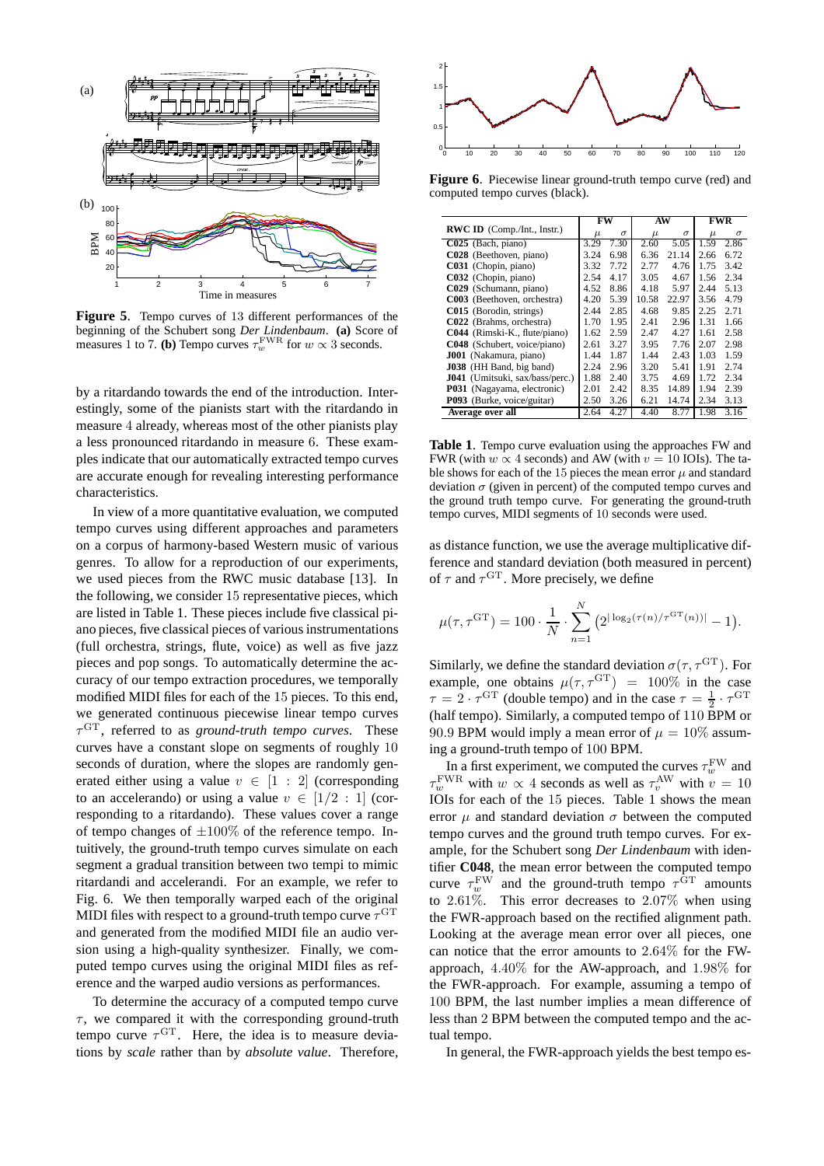

**Figure 5**. Tempo curves of 13 different performances of the beginning of the Schubert song *Der Lindenbaum*. **(a)** Score of measures 1 to 7. **(b)** Tempo curves  $\tau_w^{\text{FWR}}$  for  $w \propto 3$  seconds.

by a ritardando towards the end of the introduction. Interestingly, some of the pianists start with the ritardando in measure 4 already, whereas most of the other pianists play a less pronounced ritardando in measure 6. These examples indicate that our automatically extracted tempo curves are accurate enough for revealing interesting performance characteristics.

In view of a more quantitative evaluation, we computed tempo curves using different approaches and parameters on a corpus of harmony-based Western music of various genres. To allow for a reproduction of our experiments, we used pieces from the RWC music database [13]. In the following, we consider 15 representative pieces, which are listed in Table 1. These pieces include five classical piano pieces, five classical pieces of various instrumentations (full orchestra, strings, flute, voice) as well as five jazz pieces and pop songs. To automatically determine the accuracy of our tempo extraction procedures, we temporally modified MIDI files for each of the 15 pieces. To this end, we generated continuous piecewise linear tempo curves  $\tau$ <sup>GT</sup>, referred to as *ground-truth tempo curves*. These curves have a constant slope on segments of roughly 10 seconds of duration, where the slopes are randomly generated either using a value  $v \in [1 : 2]$  (corresponding to an accelerando) or using a value  $v \in [1/2 : 1]$  (corresponding to a ritardando). These values cover a range of tempo changes of  $\pm 100\%$  of the reference tempo. Intuitively, the ground-truth tempo curves simulate on each segment a gradual transition between two tempi to mimic ritardandi and accelerandi. For an example, we refer to Fig. 6. We then temporally warped each of the original MIDI files with respect to a ground-truth tempo curve  $\tau^{\text{GT}}$ and generated from the modified MIDI file an audio version using a high-quality synthesizer. Finally, we computed tempo curves using the original MIDI files as reference and the warped audio versions as performances.

To determine the accuracy of a computed tempo curve  $\tau$ , we compared it with the corresponding ground-truth tempo curve  $\tau$ <sup>GT</sup>. Here, the idea is to measure deviations by *scale* rather than by *absolute value*. Therefore,



**Figure 6**. Piecewise linear ground-truth tempo curve (red) and computed tempo curves (black).

|                                     | FW    |          | AW    |          | FWR   |          |
|-------------------------------------|-------|----------|-------|----------|-------|----------|
| <b>RWC ID</b> (Comp./Int., Instr.)  | $\mu$ | $\sigma$ | $\mu$ | $\sigma$ | $\mu$ | $\sigma$ |
| $C025$ (Bach, piano)                | 3.29  | 7.30     | 2.60  | 5.05     | 1.59  | 2.86     |
| C028 (Beethoven, piano)             | 3.24  | 6.98     | 6.36  | 21.14    | 2.66  | 6.72     |
| C031 (Chopin, piano)                | 3.32  | 7.72     | 2.77  | 4.76     | 1.75  | 3.42     |
| C032 (Chopin, piano)                | 2.54  | 4.17     | 3.05  | 4.67     | 1.56  | 2.34     |
| C029 (Schumann, piano)              | 4.52  | 8.86     | 4.18  | 5.97     | 2.44  | 5.13     |
| C003 (Beethoven, orchestra)         | 4.20  | 5.39     | 10.58 | 22.97    | 3.56  | 4.79     |
| C015 (Borodin, strings)             | 2.44  | 2.85     | 4.68  | 9.85     | 2.25  | 2.71     |
| C022 (Brahms, orchestra)            | 1.70  | 1.95     | 2.41  | 2.96     | 1.31  | 1.66     |
| C044 (Rimski-K., flute/piano)       | 1.62  | 2.59     | 2.47  | 4.27     | 1.61  | 2.58     |
| <b>C048</b> (Schubert, voice/piano) | 2.61  | 3.27     | 3.95  | 7.76     | 2.07  | 2.98     |
| J001 (Nakamura, piano)              | 1.44  | 1.87     | 1.44  | 2.43     | 1.03  | 1.59     |
| <b>J038</b> (HH Band, big band)     | 2.24  | 2.96     | 3.20  | 5.41     | 1.91  | 2.74     |
| J041 (Umitsuki, sax/bass/perc.)     | 1.88  | 2.40     | 3.75  | 4.69     | 1.72  | 2.34     |
| P031 (Nagayama, electronic)         | 2.01  | 2.42     | 8.35  | 14.89    | 1.94  | 2.39     |
| P093 (Burke, voice/guitar)          | 2.50  | 3.26     | 6.21  | 14.74    | 2.34  | 3.13     |
| Average over all                    | 2.64  | 4.27     | 4.40  | 8.77     | 1.98  | 3.16     |

**Table 1**. Tempo curve evaluation using the approaches FW and FWR (with  $w \propto 4$  seconds) and AW (with  $v = 10$  IOIs). The table shows for each of the 15 pieces the mean error  $\mu$  and standard deviation  $\sigma$  (given in percent) of the computed tempo curves and the ground truth tempo curve. For generating the ground-truth tempo curves, MIDI segments of 10 seconds were used.

as distance function, we use the average multiplicative difference and standard deviation (both measured in percent) of  $\tau$  and  $\tau$ <sup>GT</sup>. More precisely, we define

$$
\mu(\tau, \tau^{\text{GT}}) = 100 \cdot \frac{1}{N} \cdot \sum_{n=1}^{N} \left( 2^{|\log_2(\tau(n)/\tau^{\text{GT}}(n))|} - 1 \right).
$$

Similarly, we define the standard deviation  $\sigma(\tau, \tau^{\text{GT}})$ . For example, one obtains  $\mu(\tau, \tau^{\text{GT}}) = 100\%$  in the case  $\tau = 2 \cdot \tau^{\text{GT}}$  (double tempo) and in the case  $\tau = \frac{1}{2} \cdot \tau^{\text{GT}}$ (half tempo). Similarly, a computed tempo of 110 BPM or 90.9 BPM would imply a mean error of  $\mu = 10\%$  assuming a ground-truth tempo of 100 BPM.

In a first experiment, we computed the curves  $\tau_w^{\text{FW}}$  and  $\tau_w^{\text{EWR}}$  with  $w \propto 4$  seconds as well as  $\tau_v^{\text{AW}}$  with  $v = 10$ IOIs for each of the 15 pieces. Table 1 shows the mean error  $\mu$  and standard deviation  $\sigma$  between the computed tempo curves and the ground truth tempo curves. For example, for the Schubert song *Der Lindenbaum* with identifier **C048**, the mean error between the computed tempo curve  $\tau_w^{\text{FW}}$  and the ground-truth tempo  $\tau^{\text{GT}}$  amounts to  $2.61\%$ . This error decreases to  $2.07\%$  when using the FWR-approach based on the rectified alignment path. Looking at the average mean error over all pieces, one can notice that the error amounts to 2.64% for the FWapproach, 4.40% for the AW-approach, and 1.98% for the FWR-approach. For example, assuming a tempo of 100 BPM, the last number implies a mean difference of less than 2 BPM between the computed tempo and the actual tempo.

In general, the FWR-approach yields the best tempo es-